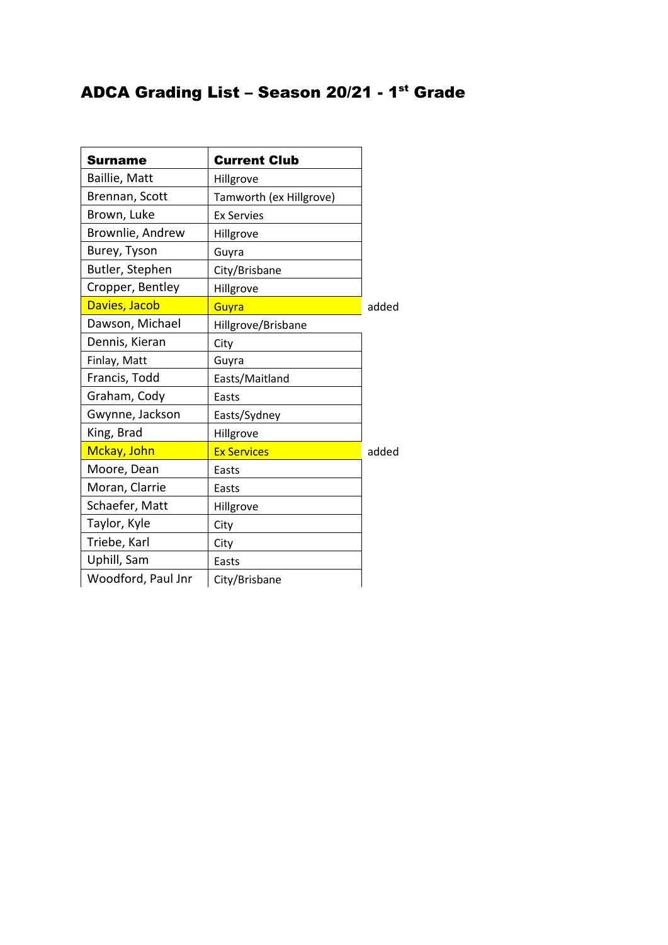## ADCA Grading List – Season 20/21 - 1<sup>st</sup> Grade

| <b>Surname</b>     | <b>Current Club</b>     |       |
|--------------------|-------------------------|-------|
| Baillie, Matt      | Hillgrove               |       |
| Brennan, Scott     | Tamworth (ex Hillgrove) |       |
| Brown, Luke        | <b>Ex Servies</b>       |       |
| Brownlie, Andrew   | Hillgrove               |       |
| Burey, Tyson       | Guyra                   |       |
| Butler, Stephen    | City/Brisbane           |       |
| Cropper, Bentley   | Hillgrove               |       |
| Davies, Jacob      | Guyra                   | added |
| Dawson, Michael    | Hillgrove/Brisbane      |       |
| Dennis, Kieran     | City                    |       |
| Finlay, Matt       | Guyra                   |       |
| Francis, Todd      | Easts/Maitland          |       |
| Graham, Cody       | Easts                   |       |
| Gwynne, Jackson    | Easts/Sydney            |       |
| King, Brad         | Hillgrove               |       |
| Mckay, John        | <b>Ex Services</b>      | added |
| Moore, Dean        | Easts                   |       |
| Moran, Clarrie     | Easts                   |       |
| Schaefer, Matt     | Hillgrove               |       |
| Taylor, Kyle       | City                    |       |
| Triebe, Karl       | City                    |       |
| Uphill, Sam        | Easts                   |       |
| Woodford, Paul Jnr | City/Brisbane           |       |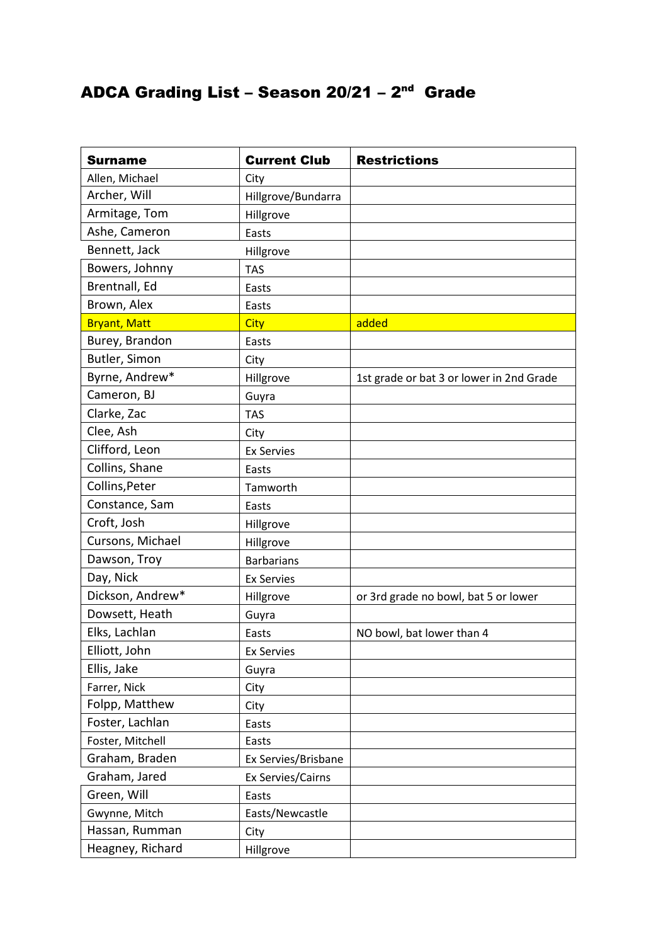## ADCA Grading List – Season 20/21 – 2<sup>nd</sup> Grade

| <b>Surname</b>      | <b>Current Club</b> | <b>Restrictions</b>                      |
|---------------------|---------------------|------------------------------------------|
| Allen, Michael      | City                |                                          |
| Archer, Will        | Hillgrove/Bundarra  |                                          |
| Armitage, Tom       | Hillgrove           |                                          |
| Ashe, Cameron       | Easts               |                                          |
| Bennett, Jack       | Hillgrove           |                                          |
| Bowers, Johnny      | <b>TAS</b>          |                                          |
| Brentnall, Ed       | Easts               |                                          |
| Brown, Alex         | Easts               |                                          |
| <b>Bryant, Matt</b> | <b>City</b>         | added                                    |
| Burey, Brandon      | Easts               |                                          |
| Butler, Simon       | City                |                                          |
| Byrne, Andrew*      | Hillgrove           | 1st grade or bat 3 or lower in 2nd Grade |
| Cameron, BJ         | Guyra               |                                          |
| Clarke, Zac         | <b>TAS</b>          |                                          |
| Clee, Ash           | City                |                                          |
| Clifford, Leon      | <b>Ex Servies</b>   |                                          |
| Collins, Shane      | Easts               |                                          |
| Collins, Peter      | Tamworth            |                                          |
| Constance, Sam      | Easts               |                                          |
| Croft, Josh         | Hillgrove           |                                          |
| Cursons, Michael    | Hillgrove           |                                          |
| Dawson, Troy        | <b>Barbarians</b>   |                                          |
| Day, Nick           | <b>Ex Servies</b>   |                                          |
| Dickson, Andrew*    | Hillgrove           | or 3rd grade no bowl, bat 5 or lower     |
| Dowsett, Heath      | Guyra               |                                          |
| Elks, Lachlan       | Easts               | NO bowl, bat lower than 4                |
| Elliott, John       | <b>Ex Servies</b>   |                                          |
| Ellis, Jake         | Guyra               |                                          |
| Farrer, Nick        | City                |                                          |
| Folpp, Matthew      | City                |                                          |
| Foster, Lachlan     | Easts               |                                          |
| Foster, Mitchell    | Easts               |                                          |
| Graham, Braden      | Ex Servies/Brisbane |                                          |
| Graham, Jared       | Ex Servies/Cairns   |                                          |
| Green, Will         | Easts               |                                          |
| Gwynne, Mitch       | Easts/Newcastle     |                                          |
| Hassan, Rumman      | City                |                                          |
| Heagney, Richard    | Hillgrove           |                                          |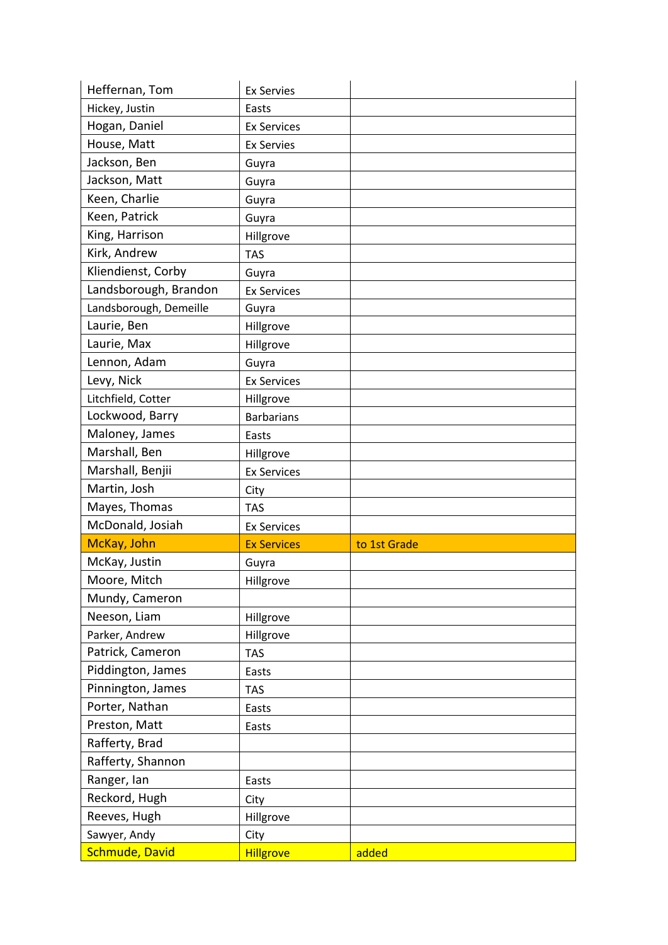| Heffernan, Tom         | <b>Ex Servies</b>  |              |
|------------------------|--------------------|--------------|
| Hickey, Justin         | Easts              |              |
| Hogan, Daniel          | <b>Ex Services</b> |              |
| House, Matt            | <b>Ex Servies</b>  |              |
| Jackson, Ben           | Guyra              |              |
| Jackson, Matt          | Guyra              |              |
| Keen, Charlie          | Guyra              |              |
| Keen, Patrick          | Guyra              |              |
| King, Harrison         | Hillgrove          |              |
| Kirk, Andrew           | <b>TAS</b>         |              |
| Kliendienst, Corby     | Guyra              |              |
| Landsborough, Brandon  | <b>Ex Services</b> |              |
| Landsborough, Demeille | Guyra              |              |
| Laurie, Ben            | Hillgrove          |              |
| Laurie, Max            | Hillgrove          |              |
| Lennon, Adam           | Guyra              |              |
| Levy, Nick             | <b>Ex Services</b> |              |
| Litchfield, Cotter     | Hillgrove          |              |
| Lockwood, Barry        | <b>Barbarians</b>  |              |
| Maloney, James         | Easts              |              |
| Marshall, Ben          | Hillgrove          |              |
| Marshall, Benjii       | <b>Ex Services</b> |              |
| Martin, Josh           | City               |              |
| Mayes, Thomas          | <b>TAS</b>         |              |
| McDonald, Josiah       | <b>Ex Services</b> |              |
| McKay, John            | <b>Ex Services</b> | to 1st Grade |
| McKay, Justin          | Guyra              |              |
| Moore, Mitch           | Hillgrove          |              |
| Mundy, Cameron         |                    |              |
|                        |                    |              |
| Neeson, Liam           | Hillgrove          |              |
| Parker, Andrew         | Hillgrove          |              |
| Patrick, Cameron       | <b>TAS</b>         |              |
| Piddington, James      | Easts              |              |
| Pinnington, James      | <b>TAS</b>         |              |
| Porter, Nathan         | Easts              |              |
| Preston, Matt          | Easts              |              |
| Rafferty, Brad         |                    |              |
| Rafferty, Shannon      |                    |              |
| Ranger, lan            | Easts              |              |
| Reckord, Hugh          | City               |              |
| Reeves, Hugh           | Hillgrove          |              |
| Sawyer, Andy           | City               |              |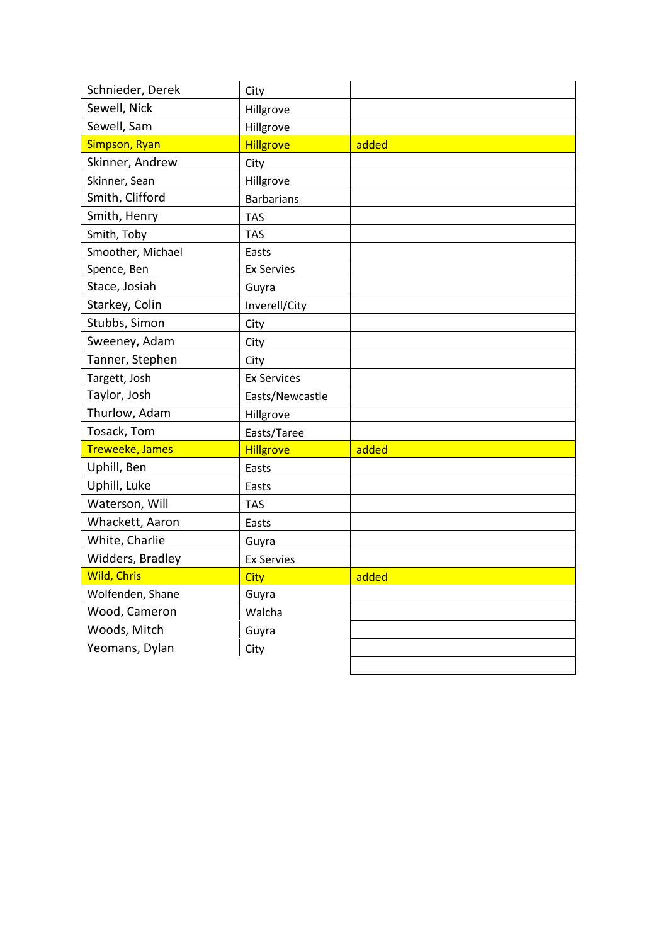| Schnieder, Derek       | City               |       |
|------------------------|--------------------|-------|
| Sewell, Nick           | Hillgrove          |       |
| Sewell, Sam            | Hillgrove          |       |
| Simpson, Ryan          | <b>Hillgrove</b>   | added |
| Skinner, Andrew        | City               |       |
| Skinner, Sean          | Hillgrove          |       |
| Smith, Clifford        | <b>Barbarians</b>  |       |
| Smith, Henry           | <b>TAS</b>         |       |
| Smith, Toby            | <b>TAS</b>         |       |
| Smoother, Michael      | Easts              |       |
| Spence, Ben            | <b>Ex Servies</b>  |       |
| Stace, Josiah          | Guyra              |       |
| Starkey, Colin         | Inverell/City      |       |
| Stubbs, Simon          | City               |       |
| Sweeney, Adam          | City               |       |
| Tanner, Stephen        | City               |       |
| Targett, Josh          | <b>Ex Services</b> |       |
| Taylor, Josh           | Easts/Newcastle    |       |
| Thurlow, Adam          | Hillgrove          |       |
| Tosack, Tom            | Easts/Taree        |       |
| <b>Treweeke, James</b> | <b>Hillgrove</b>   | added |
| Uphill, Ben            | Easts              |       |
| Uphill, Luke           | Easts              |       |
| Waterson, Will         | <b>TAS</b>         |       |
| Whackett, Aaron        | Easts              |       |
| White, Charlie         | Guyra              |       |
| Widders, Bradley       | <b>Ex Servies</b>  |       |
| <b>Wild, Chris</b>     | <b>City</b>        | added |
| Wolfenden, Shane       | Guyra              |       |
| Wood, Cameron          | Walcha             |       |
| Woods, Mitch           | Guyra              |       |
| Yeomans, Dylan         | City               |       |
|                        |                    |       |